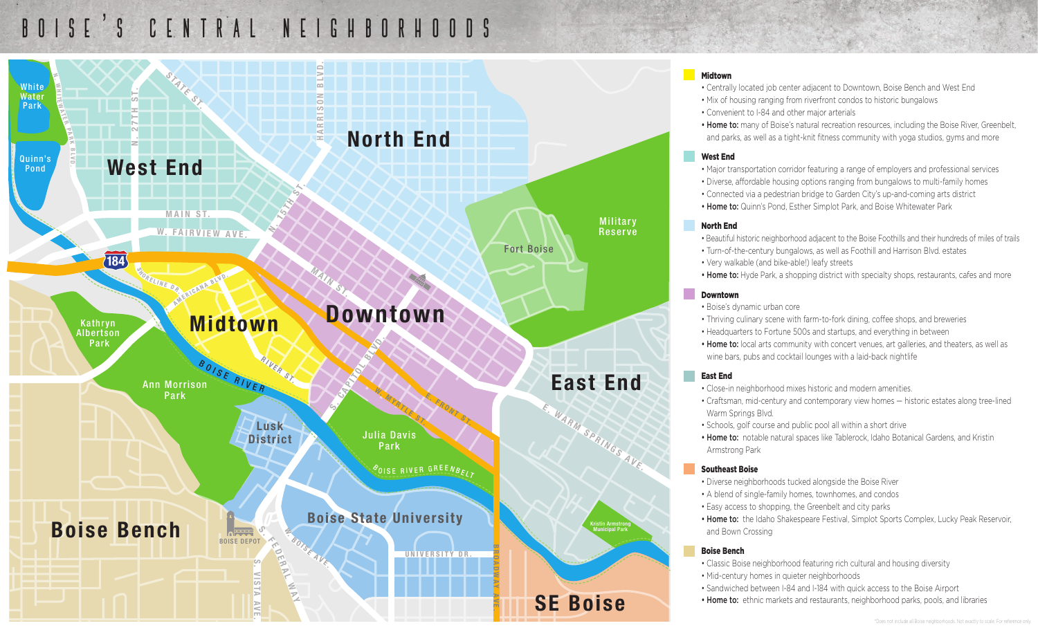# BOISE ' S CENTRAL NEIGHBORHOODS



### Midtown

• Centrally located job center adjacent to Downtown, Boise Bench and West End

- Mix of housing ranging from riverfront condos to historic bungalows
- Convenient to I-84 and other major arterials

• Home to: many of Boise's natural recreation resources, including the Boise River, Greenbelt, and parks, as well as a tight-knit fitness community with yoga studios, gyms and more

### West End

- Major transportation corridor featuring a range of employers and professional services
- Diverse, affordable housing options ranging from bungalows to multi-family homes
- Connected via a pedestrian bridge to Garden City's up-and-coming arts district
- Home to: Quinn's Pond, Esther Simplot Park, and Boise Whitewater Park

### North End

- Beautiful historic neighborhood adjacent to the Boise Foothills and their hundreds of miles of trails
- Turn-of-the-century bungalows, as well as Foothill and Harrison Blvd. estates
- Very walkable (and bike-able!) leafy streets
- Home to: Hyde Park, a shopping district with specialty shops, restaurants, cafes and more

### Downtown

- Boise's dynamic urban core
- Thriving culinary scene with farm-to-fork dining, coffee shops, and breweries
- Headquarters to Fortune 500s and startups, and everything in between
- Home to: local arts community with concert venues, art galleries, and theaters, as well as wine bars, pubs and cocktail lounges with a laid-back nightlife

### East End

- Close-in neighborhood mixes historic and modern amenities.
- Craftsman, mid-century and contemporary view homes historic estates along tree-lined Warm Springs Blvd.
- Schools, golf course and public pool all within a short drive
- Home to: notable natural spaces like Tablerock, Idaho Botanical Gardens, and Kristin Armstrong Park

### Southeast Boise

- Diverse neighborhoods tucked alongside the Boise River
- A blend of single-family homes, townhomes, and condos
- Easy access to shopping, the Greenbelt and city parks

• Home to: the Idaho Shakespeare Festival, Simplot Sports Complex, Lucky Peak Reservoir, and Bown Crossing

### Boise Bench

- Classic Boise neighborhood featuring rich cultural and housing diversity
- Mid-century homes in quieter neighborhoods
- Sandwiched between I-84 and I-184 with quick access to the Boise Airport
- Home to: ethnic markets and restaurants, neighborhood parks, pools, and libraries